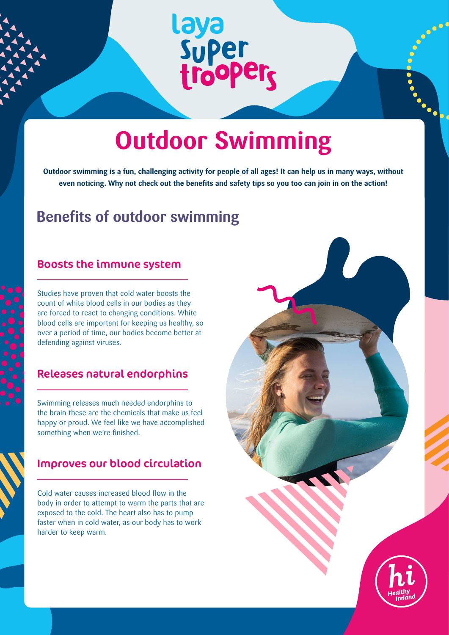# laya<br>Super<br>trooper<sub>s</sub>

# **Outdoor Swimming**

**Outdoor swimming is a fun, challenging activity for people of all ages! It can help us in many ways, without even noticing. Why not check out the benefits and safety tips so you too can join in on the action!**

### **Benefits of outdoor swimming**

#### Boosts the immune system

Studies have proven that cold water boosts the count of white blood cells in our bodies as they are forced to react to changing conditions. White blood cells are important for keeping us healthy, so over a period of time, our bodies become better at defending against viruses.

#### Releases natural endorphins

Swimming releases much needed endorphins to the brain-these are the chemicals that make us feel happy or proud. We feel like we have accomplished something when we're finished.

#### Improves our blood circulation

Cold water causes increased blood flow in the body in order to attempt to warm the parts that are exposed to the cold. The heart also has to pump faster when in cold water, as our body has to work harder to keep warm.

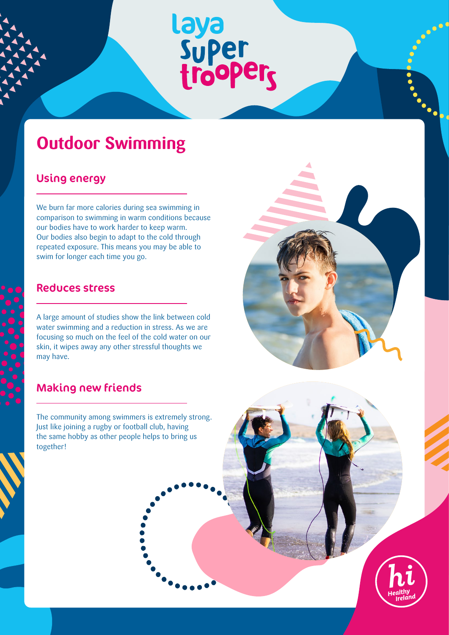# Laya<br>Super<br>trooper<sub>s</sub>

## **Outdoor Swimming**

#### Using energy

We burn far more calories during sea swimming in comparison to swimming in warm conditions because our bodies have to work harder to keep warm. Our bodies also begin to adapt to the cold through repeated exposure. This means you may be able to swim for longer each time you go.

#### Reduces stress

A large amount of studies show the link between cold water swimming and a reduction in stress. As we are focusing so much on the feel of the cold water on our skin, it wipes away any other stressful thoughts we may have.

#### Making new friends

The community among swimmers is extremely strong. Just like joining a rugby or football club, having the same hobby as other people helps to bring us together!